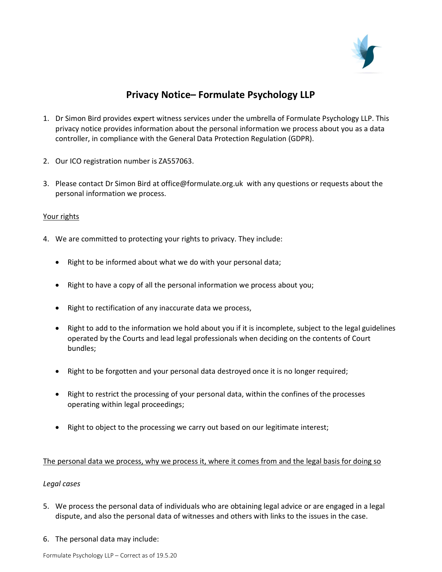

# Privacy Notice– Formulate Psychology LLP

- 1. Dr Simon Bird provides expert witness services under the umbrella of Formulate Psychology LLP. This privacy notice provides information about the personal information we process about you as a data controller, in compliance with the General Data Protection Regulation (GDPR).
- 2. Our ICO registration number is ZA557063.
- 3. Please contact Dr Simon Bird at office@formulate.org.uk with any questions or requests about the personal information we process.

## Your rights

- 4. We are committed to protecting your rights to privacy. They include:
	- Right to be informed about what we do with your personal data;
	- Right to have a copy of all the personal information we process about you;
	- Right to rectification of any inaccurate data we process,
	- Right to add to the information we hold about you if it is incomplete, subject to the legal guidelines operated by the Courts and lead legal professionals when deciding on the contents of Court bundles;
	- Right to be forgotten and your personal data destroyed once it is no longer required;
	- Right to restrict the processing of your personal data, within the confines of the processes operating within legal proceedings;
	- Right to object to the processing we carry out based on our legitimate interest;

### The personal data we process, why we process it, where it comes from and the legal basis for doing so

### Legal cases

- 5. We process the personal data of individuals who are obtaining legal advice or are engaged in a legal dispute, and also the personal data of witnesses and others with links to the issues in the case.
- 6. The personal data may include: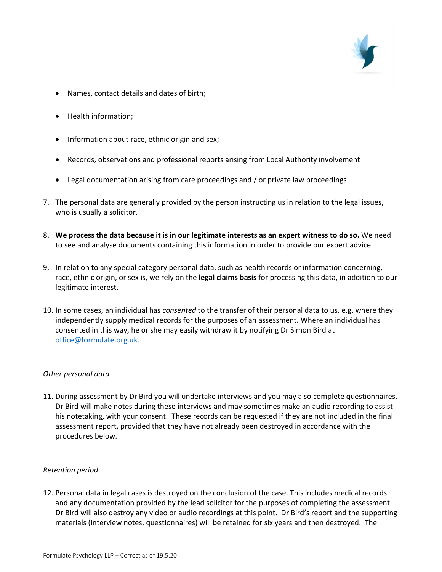

- Names, contact details and dates of birth;
- Health information;
- Information about race, ethnic origin and sex;
- Records, observations and professional reports arising from Local Authority involvement
- Legal documentation arising from care proceedings and / or private law proceedings
- 7. The personal data are generally provided by the person instructing us in relation to the legal issues, who is usually a solicitor.
- 8. We process the data because it is in our legitimate interests as an expert witness to do so. We need to see and analyse documents containing this information in order to provide our expert advice.
- 9. In relation to any special category personal data, such as health records or information concerning, race, ethnic origin, or sex is, we rely on the legal claims basis for processing this data, in addition to our legitimate interest.
- 10. In some cases, an individual has consented to the transfer of their personal data to us, e.g. where they independently supply medical records for the purposes of an assessment. Where an individual has consented in this way, he or she may easily withdraw it by notifying Dr Simon Bird at office@formulate.org.uk.

### Other personal data

11. During assessment by Dr Bird you will undertake interviews and you may also complete questionnaires. Dr Bird will make notes during these interviews and may sometimes make an audio recording to assist his notetaking, with your consent. These records can be requested if they are not included in the final assessment report, provided that they have not already been destroyed in accordance with the procedures below.

### Retention period

12. Personal data in legal cases is destroyed on the conclusion of the case. This includes medical records and any documentation provided by the lead solicitor for the purposes of completing the assessment. Dr Bird will also destroy any video or audio recordings at this point. Dr Bird's report and the supporting materials (interview notes, questionnaires) will be retained for six years and then destroyed. The